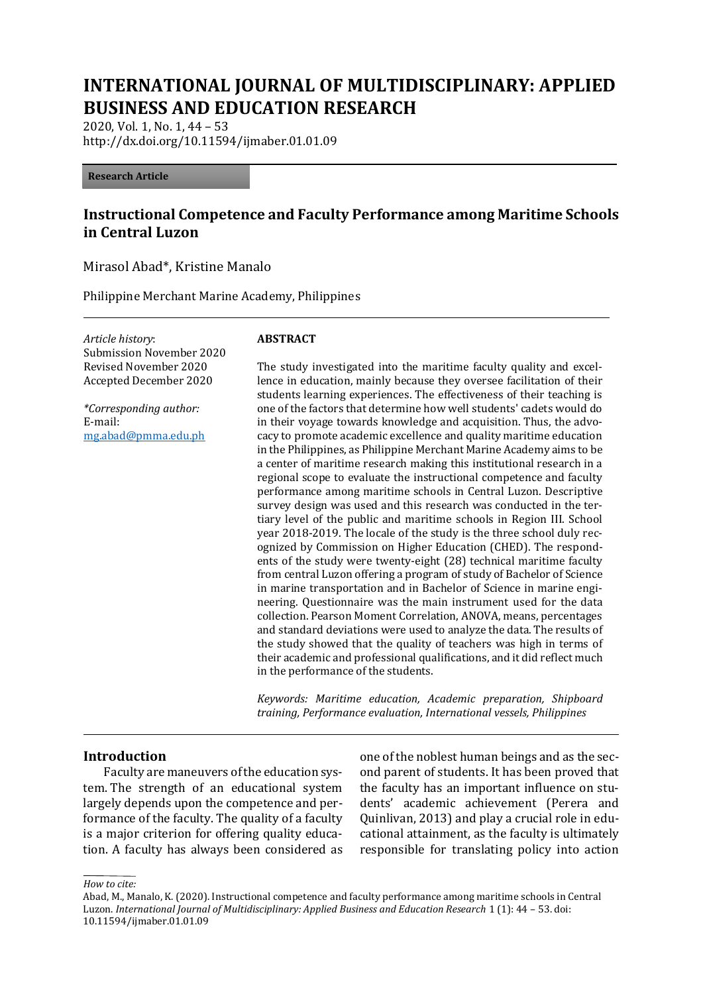# **INTERNATIONAL JOURNAL OF MULTIDISCIPLINARY: APPLIED BUSINESS AND EDUCATION RESEARCH**

2020, Vol. 1, No. 1, 44 – 53 http://dx.doi.org/10.11594/ijmaber.01.01.09

#### **Research Article**

# **Instructional Competence and Faculty Performance among Maritime Schools in Central Luzon**

Mirasol Abad\*, Kristine Manalo

Philippine Merchant Marine Academy, Philippines

*Article history*: Submission November 2020 Revised November 2020 Accepted December 2020

*\*Corresponding author:* E-mail: [mg.abad@pmma.edu.ph](mailto:mg.abad@pmma.edu.ph)

#### **ABSTRACT**

The study investigated into the maritime faculty quality and excellence in education, mainly because they oversee facilitation of their students learning experiences. The effectiveness of their teaching is one of the factors that determine how well students' cadets would do in their voyage towards knowledge and acquisition. Thus, the advocacy to promote academic excellence and quality maritime education in the Philippines, as Philippine Merchant Marine Academy aims to be a center of maritime research making this institutional research in a regional scope to evaluate the instructional competence and faculty performance among maritime schools in Central Luzon. Descriptive survey design was used and this research was conducted in the tertiary level of the public and maritime schools in Region III. School year 2018-2019. The locale of the study is the three school duly recognized by Commission on Higher Education (CHED). The respondents of the study were twenty-eight (28) technical maritime faculty from central Luzon offering a program of study of Bachelor of Science in marine transportation and in Bachelor of Science in marine engineering. Questionnaire was the main instrument used for the data collection. Pearson Moment Correlation, ANOVA, means, percentages and standard deviations were used to analyze the data. The results of the study showed that the quality of teachers was high in terms of their academic and professional qualifications, and it did reflect much in the performance of the students.

*Keywords: Maritime education, Academic preparation, Shipboard training, Performance evaluation, International vessels, Philippines*

#### **Introduction**

Faculty are maneuvers of the education system. The strength of an educational system largely depends upon the competence and performance of the faculty. The quality of a faculty is a major criterion for offering quality education. A faculty has always been considered as one of the noblest human beings and as the second parent of students. It has been proved that the faculty has an important influence on students' academic achievement (Perera and Quinlivan, 2013) and play a crucial role in educational attainment, as the faculty is ultimately responsible for translating policy into action

*How to cite:*

Abad, M., Manalo, K. (2020). Instructional competence and faculty performance among maritime schools in Central Luzon. *International Journal of Multidisciplinary: Applied Business and Education Research* 1 (1): 44 – 53. doi: 10.11594/ijmaber.01.01.09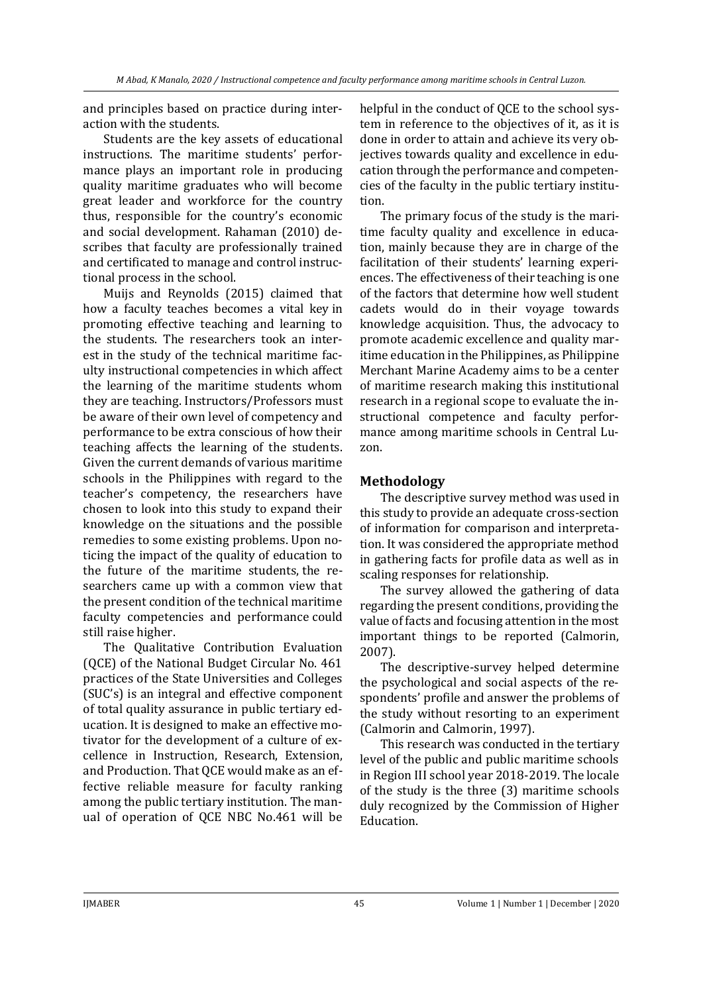and principles based on practice during interaction with the students.

Students are the key assets of educational instructions. The maritime students' performance plays an important role in producing quality maritime graduates who will become great leader and workforce for the country thus, responsible for the country's economic and social development. Rahaman (2010) describes that faculty are professionally trained and certificated to manage and control instructional process in the school.

Muijs and Reynolds (2015) claimed that how a faculty teaches becomes a vital key in promoting effective teaching and learning to the students. The researchers took an interest in the study of the technical maritime faculty instructional competencies in which affect the learning of the maritime students whom they are teaching. Instructors/Professors must be aware of their own level of competency and performance to be extra conscious of how their teaching affects the learning of the students. Given the current demands of various maritime schools in the Philippines with regard to the teacher's competency, the researchers have chosen to look into this study to expand their knowledge on the situations and the possible remedies to some existing problems. Upon noticing the impact of the quality of education to the future of the maritime students, the researchers came up with a common view that the present condition of the technical maritime faculty competencies and performance could still raise higher.

The Qualitative Contribution Evaluation (QCE) of the National Budget Circular No. 461 practices of the State Universities and Colleges (SUC's) is an integral and effective component of total quality assurance in public tertiary education. It is designed to make an effective motivator for the development of a culture of excellence in Instruction, Research, Extension, and Production. That QCE would make as an effective reliable measure for faculty ranking among the public tertiary institution. The manual of operation of QCE NBC No.461 will be helpful in the conduct of QCE to the school system in reference to the objectives of it, as it is done in order to attain and achieve its very objectives towards quality and excellence in education through the performance and competencies of the faculty in the public tertiary institution.

The primary focus of the study is the maritime faculty quality and excellence in education, mainly because they are in charge of the facilitation of their students' learning experiences. The effectiveness of their teaching is one of the factors that determine how well student cadets would do in their voyage towards knowledge acquisition. Thus, the advocacy to promote academic excellence and quality maritime education in the Philippines, as Philippine Merchant Marine Academy aims to be a center of maritime research making this institutional research in a regional scope to evaluate the instructional competence and faculty performance among maritime schools in Central Luzon.

### **Methodology**

The descriptive survey method was used in this study to provide an adequate cross-section of information for comparison and interpretation. It was considered the appropriate method in gathering facts for profile data as well as in scaling responses for relationship.

The survey allowed the gathering of data regarding the present conditions, providing the value of facts and focusing attention in the most important things to be reported (Calmorin, 2007).

The descriptive-survey helped determine the psychological and social aspects of the respondents' profile and answer the problems of the study without resorting to an experiment (Calmorin and Calmorin, 1997).

This research was conducted in the tertiary level of the public and public maritime schools in Region III school year 2018-2019. The locale of the study is the three (3) maritime schools duly recognized by the Commission of Higher Education.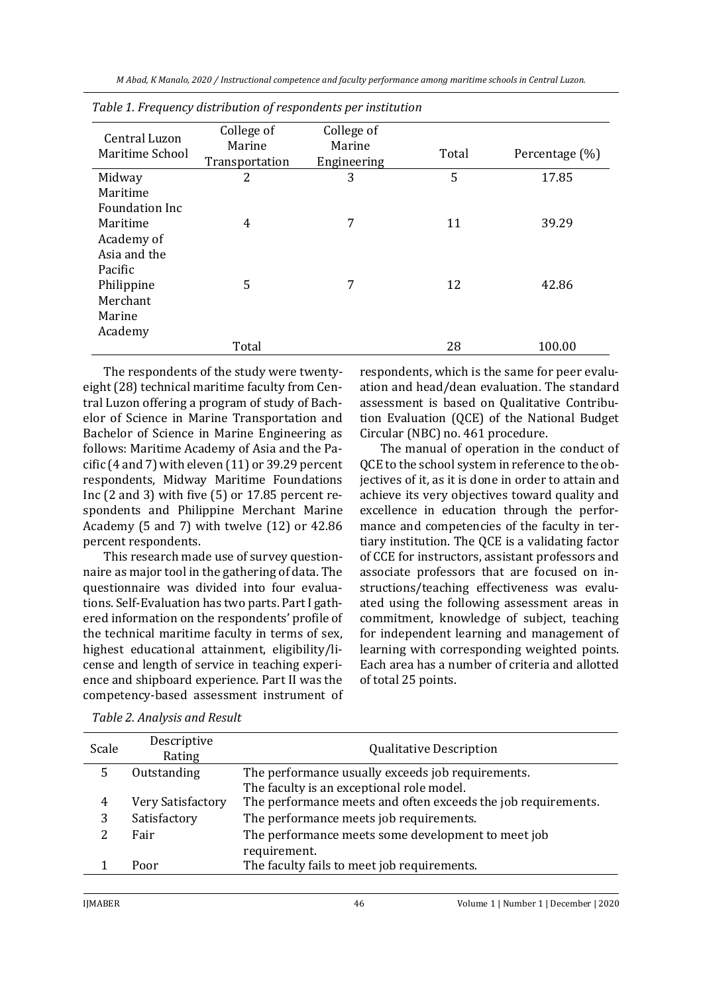*M Abad, K Manalo, 2020 / Instructional competence and faculty performance among maritime schools in Central Luzon.*

|                       | .              |             |       |                |  |
|-----------------------|----------------|-------------|-------|----------------|--|
| Central Luzon         | College of     | College of  |       |                |  |
| Maritime School       | Marine         | Marine      | Total | Percentage (%) |  |
|                       | Transportation | Engineering |       |                |  |
| Midway                | 2              | 3           | 5     | 17.85          |  |
| Maritime              |                |             |       |                |  |
| <b>Foundation Inc</b> |                |             |       |                |  |
| Maritime              | 4              | 7           | 11    | 39.29          |  |
| Academy of            |                |             |       |                |  |
| Asia and the          |                |             |       |                |  |
| Pacific               |                |             |       |                |  |
| Philippine            | 5              | 7           | 12    | 42.86          |  |
| Merchant              |                |             |       |                |  |
| Marine                |                |             |       |                |  |
| Academy               |                |             |       |                |  |
|                       | Total          |             | 28    | 100.00         |  |

|  | Table 1. Frequency distribution of respondents per institution |  |  |
|--|----------------------------------------------------------------|--|--|
|  |                                                                |  |  |

The respondents of the study were twentyeight (28) technical maritime faculty from Central Luzon offering a program of study of Bachelor of Science in Marine Transportation and Bachelor of Science in Marine Engineering as follows: Maritime Academy of Asia and the Pacific (4 and 7) with eleven (11) or 39.29 percent respondents, Midway Maritime Foundations Inc (2 and 3) with five (5) or 17.85 percent respondents and Philippine Merchant Marine Academy (5 and 7) with twelve (12) or 42.86 percent respondents.

This research made use of survey questionnaire as major tool in the gathering of data. The questionnaire was divided into four evaluations. Self-Evaluation has two parts. Part I gathered information on the respondents' profile of the technical maritime faculty in terms of sex, highest educational attainment, eligibility/license and length of service in teaching experience and shipboard experience. Part II was the competency-based assessment instrument of respondents, which is the same for peer evaluation and head/dean evaluation. The standard assessment is based on Qualitative Contribution Evaluation (QCE) of the National Budget Circular (NBC) no. 461 procedure.

The manual of operation in the conduct of QCE to the school system in reference to the objectives of it, as it is done in order to attain and achieve its very objectives toward quality and excellence in education through the performance and competencies of the faculty in tertiary institution. The QCE is a validating factor of CCE for instructors, assistant professors and associate professors that are focused on instructions/teaching effectiveness was evaluated using the following assessment areas in commitment, knowledge of subject, teaching for independent learning and management of learning with corresponding weighted points. Each area has a number of criteria and allotted of total 25 points.

| Scale | Descriptive<br>Rating | <b>Qualitative Description</b>                                |
|-------|-----------------------|---------------------------------------------------------------|
| 5     | Outstanding           | The performance usually exceeds job requirements.             |
|       |                       | The faculty is an exceptional role model.                     |
| 4     | Very Satisfactory     | The performance meets and often exceeds the job requirements. |
| 3     | Satisfactory          | The performance meets job requirements.                       |
|       | Fair                  | The performance meets some development to meet job            |
|       |                       | requirement.                                                  |
|       | Poor                  | The faculty fails to meet job requirements.                   |
|       |                       |                                                               |

*Table 2. Analysis and Result*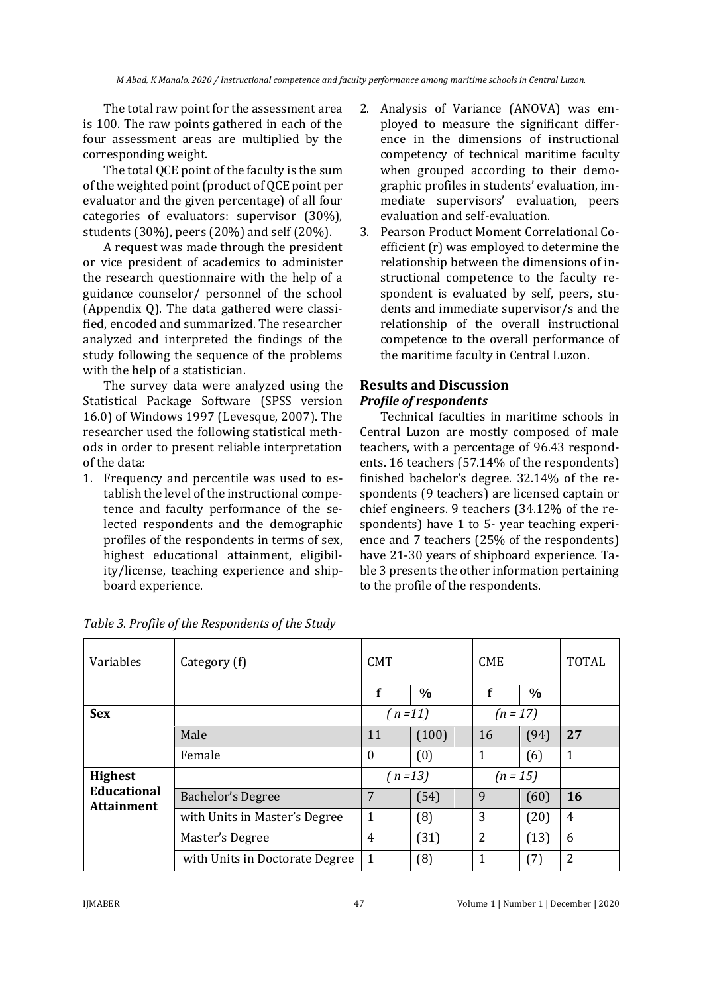The total raw point for the assessment area is 100. The raw points gathered in each of the four assessment areas are multiplied by the corresponding weight.

The total QCE point of the faculty is the sum of the weighted point (product of QCE point per evaluator and the given percentage) of all four categories of evaluators: supervisor (30%), students (30%), peers (20%) and self (20%).

A request was made through the president or vice president of academics to administer the research questionnaire with the help of a guidance counselor/ personnel of the school (Appendix Q). The data gathered were classified, encoded and summarized. The researcher analyzed and interpreted the findings of the study following the sequence of the problems with the help of a statistician.

The survey data were analyzed using the Statistical Package Software (SPSS version 16.0) of Windows 1997 (Levesque, 2007). The researcher used the following statistical methods in order to present reliable interpretation of the data:

1. Frequency and percentile was used to establish the level of the instructional competence and faculty performance of the selected respondents and the demographic profiles of the respondents in terms of sex, highest educational attainment, eligibility/license, teaching experience and shipboard experience.

- 2. Analysis of Variance (ANOVA) was employed to measure the significant difference in the dimensions of instructional competency of technical maritime faculty when grouped according to their demographic profiles in students' evaluation, immediate supervisors' evaluation, peers evaluation and self-evaluation.
- 3. Pearson Product Moment Correlational Coefficient (r) was employed to determine the relationship between the dimensions of instructional competence to the faculty respondent is evaluated by self, peers, students and immediate supervisor/s and the relationship of the overall instructional competence to the overall performance of the maritime faculty in Central Luzon.

## **Results and Discussion** *Profile of respondents*

Technical faculties in maritime schools in Central Luzon are mostly composed of male teachers, with a percentage of 96.43 respondents. 16 teachers (57.14% of the respondents) finished bachelor's degree. 32.14% of the respondents (9 teachers) are licensed captain or chief engineers. 9 teachers (34.12% of the respondents) have 1 to 5- year teaching experience and 7 teachers (25% of the respondents) have 21-30 years of shipboard experience. Table 3 presents the other information pertaining to the profile of the respondents.

| Variables                               | Category (f)                   | <b>CMT</b>   |               | <b>CME</b> |                |      | <b>TOTAL</b>   |
|-----------------------------------------|--------------------------------|--------------|---------------|------------|----------------|------|----------------|
|                                         |                                | f            | $\frac{0}{0}$ |            | f              | $\%$ |                |
| <b>Sex</b>                              |                                | $(n=11)$     |               | $(n = 17)$ |                |      |                |
|                                         | Male                           | 11           | (100)         |            | 16             | (94) | 27             |
|                                         | Female                         | 0            | (0)           |            | 1              | (6)  | $\mathbf{1}$   |
| <b>Highest</b>                          |                                | $(n=13)$     |               |            | $(n = 15)$     |      |                |
| <b>Educational</b><br><b>Attainment</b> | Bachelor's Degree              | 7            | (54)          |            | 9              | (60) | 16             |
|                                         | with Units in Master's Degree  | $\mathbf{1}$ | (8)           |            | 3              | (20) | $\overline{4}$ |
|                                         | Master's Degree                | 4            | (31)          |            | $\overline{2}$ | (13) | 6              |
|                                         | with Units in Doctorate Degree | 1            | (8)           |            | 1              | (7)  | 2              |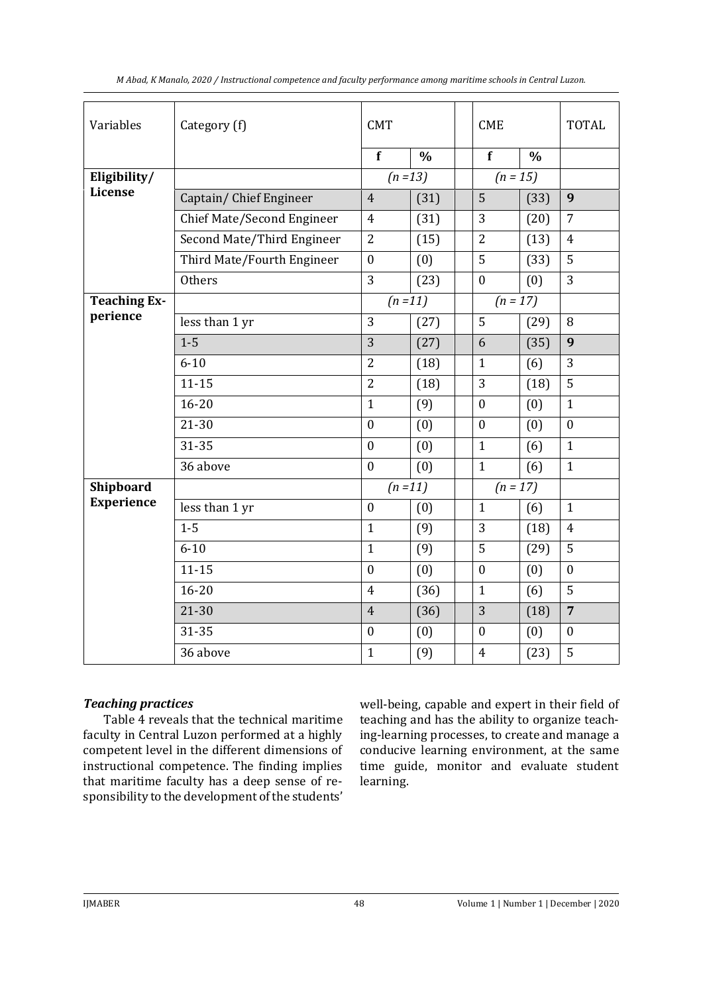| Variables           | Category (f)               | <b>CMT</b>       |               | <b>CME</b> |                  |               | <b>TOTAL</b>     |
|---------------------|----------------------------|------------------|---------------|------------|------------------|---------------|------------------|
|                     |                            | f                | $\frac{0}{0}$ |            | f                | $\frac{0}{0}$ |                  |
| Eligibility/        |                            | $(n=13)$         |               |            | $(n = 15)$       |               |                  |
| License             | Captain/Chief Engineer     | $\overline{4}$   | (31)          |            | 5                | (33)          | 9                |
|                     | Chief Mate/Second Engineer | $\overline{4}$   | (31)          |            | 3                | (20)          | $\overline{7}$   |
|                     | Second Mate/Third Engineer | $\overline{2}$   | (15)          |            | $\overline{2}$   | (13)          | $\overline{4}$   |
|                     | Third Mate/Fourth Engineer | $\boldsymbol{0}$ | (0)           |            | 5                | (33)          | 5                |
|                     | Others                     | 3                | (23)          |            | $\boldsymbol{0}$ | (0)           | 3                |
| <b>Teaching Ex-</b> |                            | $(n=11)$         |               |            | $(n = 17)$       |               |                  |
| perience            | less than 1 yr             | 3                | (27)          |            | 5                | (29)          | 8                |
|                     | $1-5$                      | 3                | (27)          |            | 6                | (35)          | 9                |
|                     | $6 - 10$                   | $\overline{2}$   | (18)          |            | $\mathbf{1}$     | (6)           | 3                |
|                     | $11 - 15$                  | $\overline{2}$   | (18)          |            | 3                | (18)          | 5                |
|                     | $16 - 20$                  | $\mathbf{1}$     | (9)           |            | $\boldsymbol{0}$ | (0)           | $\mathbf{1}$     |
|                     | $21 - 30$                  | $\mathbf{0}$     | (0)           |            | $\mathbf{0}$     | (0)           | $\mathbf{0}$     |
|                     | 31-35                      | $\boldsymbol{0}$ | (0)           |            | $\mathbf{1}$     | (6)           | $\mathbf{1}$     |
|                     | 36 above                   | $\boldsymbol{0}$ | (0)           |            | $\mathbf{1}$     | (6)           | $\mathbf{1}$     |
| <b>Shipboard</b>    |                            | $(n=11)$         |               |            | $(n = 17)$       |               |                  |
| <b>Experience</b>   | less than 1 yr             | $\boldsymbol{0}$ | (0)           |            | $\mathbf{1}$     | (6)           | $\mathbf{1}$     |
|                     | $1-5$                      | $\mathbf{1}$     | (9)           |            | 3                | (18)          | $\overline{4}$   |
|                     | $6 - 10$                   | $\mathbf{1}$     | (9)           |            | 5                | (29)          | 5                |
|                     | $11 - 15$                  | $\mathbf{0}$     | (0)           |            | $\mathbf{0}$     | (0)           | $\mathbf{0}$     |
|                     | $16 - 20$                  | $\overline{4}$   | (36)          |            | $\mathbf{1}$     | (6)           | 5                |
|                     | $21 - 30$                  | $\overline{4}$   | (36)          |            | 3                | (18)          | $\overline{7}$   |
|                     | 31-35                      | $\boldsymbol{0}$ | (0)           |            | $\boldsymbol{0}$ | (0)           | $\boldsymbol{0}$ |
|                     | 36 above                   | $\mathbf{1}$     | (9)           |            | $\overline{4}$   | (23)          | 5                |

### *Teaching practices*

Table 4 reveals that the technical maritime faculty in Central Luzon performed at a highly competent level in the different dimensions of instructional competence. The finding implies that maritime faculty has a deep sense of responsibility to the development of the students'

well-being, capable and expert in their field of teaching and has the ability to organize teaching-learning processes, to create and manage a conducive learning environment, at the same time guide, monitor and evaluate student learning.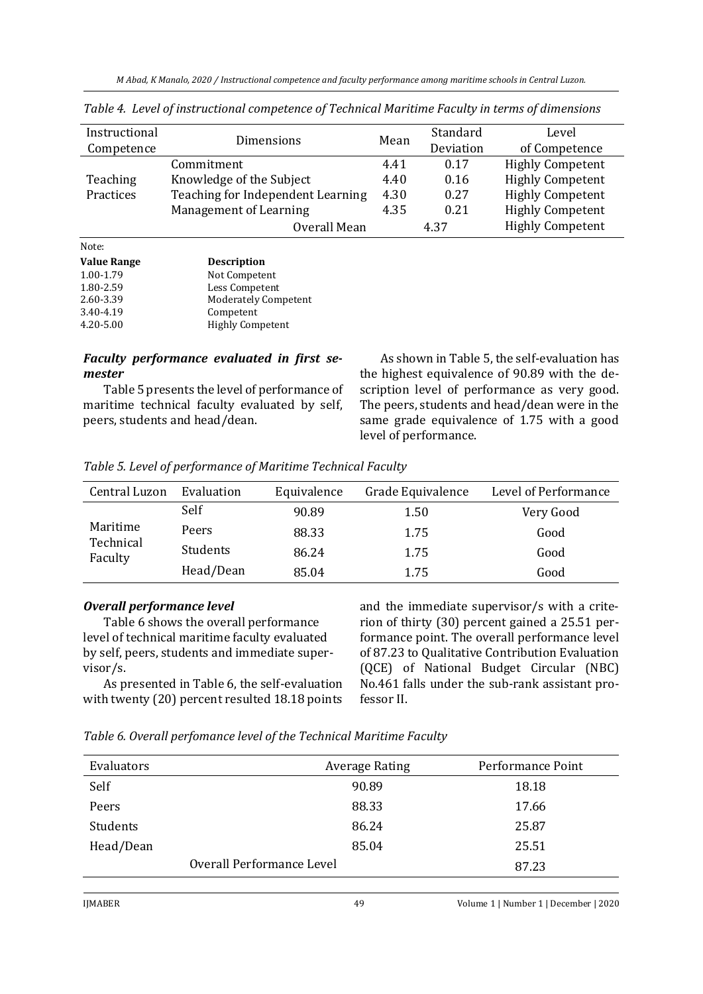*M Abad, K Manalo, 2020 / Instructional competence and faculty performance among maritime schools in Central Luzon.*

| Instructional<br>Competence | Dimensions                        | Mean | Standard<br>Deviation | Level<br>of Competence  |
|-----------------------------|-----------------------------------|------|-----------------------|-------------------------|
|                             | Commitment                        | 4.41 | 0.17                  | <b>Highly Competent</b> |
| Teaching                    | Knowledge of the Subject          | 4.40 | 0.16                  | <b>Highly Competent</b> |
| Practices                   | Teaching for Independent Learning | 4.30 | 0.27                  | <b>Highly Competent</b> |
|                             | Management of Learning            | 4.35 | 0.21                  | <b>Highly Competent</b> |
|                             | Overall Mean                      |      | 4.37                  | <b>Highly Competent</b> |

*Table 4. Level of instructional competence of Technical Maritime Faculty in terms of dimensions*

| 110CC.             |                             |
|--------------------|-----------------------------|
| <b>Value Range</b> | <b>Description</b>          |
| 1.00-1.79          | Not Competent               |
| 1.80-2.59          | Less Competent              |
| 2.60-3.39          | <b>Moderately Competent</b> |
| 3.40-4.19          | Competent                   |
| 4.20-5.00          | <b>Highly Competent</b>     |
|                    |                             |

Note:

#### *Faculty performance evaluated in first semester*

Table 5 presents the level of performance of maritime technical faculty evaluated by self, peers, students and head/dean.

As shown in Table 5, the self-evaluation has the highest equivalence of 90.89 with the description level of performance as very good. The peers, students and head/dean were in the same grade equivalence of 1.75 with a good level of performance.

|  | Table 5. Level of performance of Maritime Technical Faculty |  |
|--|-------------------------------------------------------------|--|
|  |                                                             |  |

| Central Luzon                    | Evaluation | Equivalence | Grade Equivalence | Level of Performance |
|----------------------------------|------------|-------------|-------------------|----------------------|
| Maritime<br>Technical<br>Faculty | Self       | 90.89       | 1.50              | Very Good            |
|                                  | Peers      | 88.33       | 1.75              | Good                 |
|                                  | Students   | 86.24       | 1.75              | Good                 |
|                                  | Head/Dean  | 85.04       | 1.75              | Good                 |

#### *Overall performance level*

Table 6 shows the overall performance level of technical maritime faculty evaluated by self, peers, students and immediate supervisor/s.

As presented in Table 6, the self-evaluation with twenty (20) percent resulted 18.18 points and the immediate supervisor/s with a criterion of thirty (30) percent gained a 25.51 performance point. The overall performance level of 87.23 to Qualitative Contribution Evaluation (QCE) of National Budget Circular (NBC) No.461 falls under the sub-rank assistant professor II.

*Table 6. Overall perfomance level of the Technical Maritime Faculty*

| Evaluators |                           | <b>Average Rating</b> | Performance Point |
|------------|---------------------------|-----------------------|-------------------|
| Self       |                           | 90.89                 | 18.18             |
| Peers      |                           | 88.33                 | 17.66             |
| Students   |                           | 86.24                 | 25.87             |
| Head/Dean  |                           | 85.04                 | 25.51             |
|            | Overall Performance Level |                       | 87.23             |
|            |                           |                       |                   |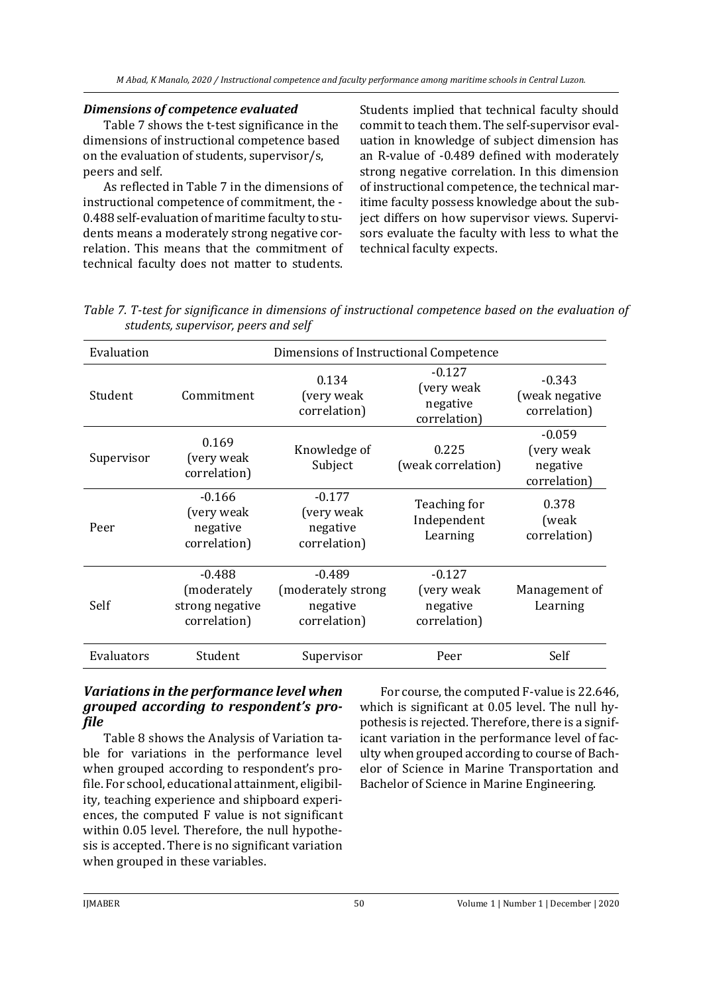### *Dimensions of competence evaluated*

Table 7 shows the t-test significance in the dimensions of instructional competence based on the evaluation of students, supervisor/s, peers and self.

As reflected in Table 7 in the dimensions of instructional competence of commitment, the - 0.488 self-evaluation of maritime faculty to students means a moderately strong negative correlation. This means that the commitment of technical faculty does not matter to students. Students implied that technical faculty should commit to teach them. The self-supervisor evaluation in knowledge of subject dimension has an R-value of -0.489 defined with moderately strong negative correlation. In this dimension of instructional competence, the technical maritime faculty possess knowledge about the subject differs on how supervisor views. Supervisors evaluate the faculty with less to what the technical faculty expects.

| Evaluation | Dimensions of Instructional Competence                     |                                                             |                                                    |                                                    |  |
|------------|------------------------------------------------------------|-------------------------------------------------------------|----------------------------------------------------|----------------------------------------------------|--|
| Student    | Commitment                                                 | 0.134<br>(very weak<br>correlation)                         | $-0.127$<br>(very weak<br>negative<br>correlation) | $-0.343$<br>(weak negative<br>correlation)         |  |
| Supervisor | 0.169<br>(very weak<br>correlation)                        | Knowledge of<br>Subject                                     | 0.225<br>(weak correlation)                        | $-0.059$<br>(very weak<br>negative<br>correlation) |  |
| Peer       | $-0.166$<br>(very weak<br>negative<br>correlation)         | $-0.177$<br>(very weak<br>negative<br>correlation)          | Teaching for<br>Independent<br>Learning            | 0.378<br>(weak<br>correlation)                     |  |
| Self       | $-0.488$<br>(moderately<br>strong negative<br>correlation) | $-0.489$<br>(moderately strong)<br>negative<br>correlation) | $-0.127$<br>(very weak<br>negative<br>correlation) | Management of<br>Learning                          |  |
| Evaluators | Student                                                    | Supervisor                                                  | Peer                                               | Self                                               |  |

*Table 7. T-test for significance in dimensions of instructional competence based on the evaluation of students, supervisor, peers and self*

## *Variations in the performance level when grouped according to respondent's profile*

Table 8 shows the Analysis of Variation table for variations in the performance level when grouped according to respondent's profile. For school, educational attainment, eligibility, teaching experience and shipboard experiences, the computed F value is not significant within 0.05 level. Therefore, the null hypothesis is accepted. There is no significant variation when grouped in these variables.

For course, the computed F-value is 22.646, which is significant at 0.05 level. The null hypothesis is rejected. Therefore, there is a significant variation in the performance level of faculty when grouped according to course of Bachelor of Science in Marine Transportation and Bachelor of Science in Marine Engineering.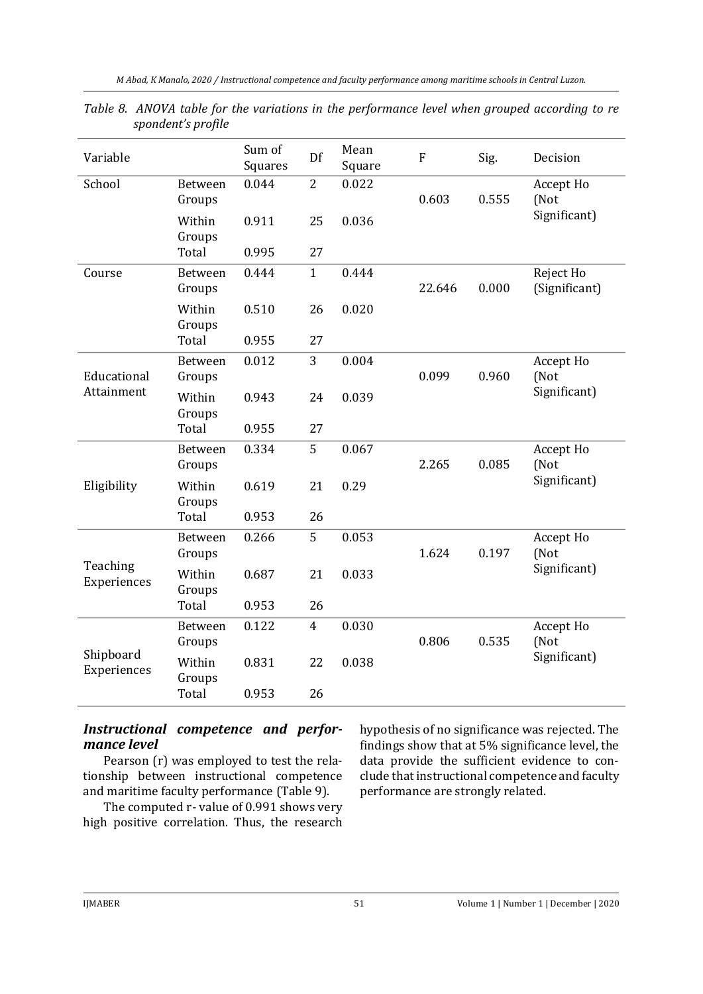| Variable                  |                   | Sum of<br>Squares | Df             | Mean<br>Square | $\mathbf{F}$ | Sig.  | Decision                   |
|---------------------------|-------------------|-------------------|----------------|----------------|--------------|-------|----------------------------|
| School                    | Between<br>Groups | 0.044             | $\overline{2}$ | 0.022          | 0.603        | 0.555 | Accept Ho<br>(Not          |
|                           | Within<br>Groups  | 0.911             | 25             | 0.036          |              |       | Significant)               |
|                           | Total             | 0.995             | 27             |                |              |       |                            |
| Course                    | Between<br>Groups | 0.444             | $\mathbf{1}$   | 0.444          | 22.646       | 0.000 | Reject Ho<br>(Significant) |
|                           | Within<br>Groups  | 0.510             | 26             | 0.020          |              |       |                            |
|                           | Total             | 0.955             | 27             |                |              |       |                            |
| Educational<br>Attainment | Between<br>Groups | 0.012             | 3              | 0.004          | 0.099        | 0.960 | Accept Ho<br>(Not          |
|                           | Within<br>Groups  | 0.943             | 24             | 0.039          |              |       | Significant)               |
|                           | Total             | 0.955             | 27             |                |              |       |                            |
| Eligibility               | Between<br>Groups | 0.334             | 5              | 0.067          | 2.265        | 0.085 | Accept Ho<br>(Not          |
|                           | Within<br>Groups  | 0.619             | 21             | 0.29           |              |       | Significant)               |
|                           | Total             | 0.953             | 26             |                |              |       |                            |
| Teaching<br>Experiences   | Between<br>Groups | 0.266             | 5              | 0.053          | 1.624        | 0.197 | Accept Ho<br>(Not          |
|                           | Within<br>Groups  | 0.687             | 21             | 0.033          |              |       | Significant)               |
|                           | Total             | 0.953             | 26             |                |              |       |                            |
| Shipboard<br>Experiences  | Between<br>Groups | 0.122             | $\overline{4}$ | 0.030          | 0.806        | 0.535 | Accept Ho<br>(Not          |
|                           | Within<br>Groups  | 0.831             | 22             | 0.038          |              |       | Significant)               |
|                           | Total             | 0.953             | 26             |                |              |       |                            |

*Table 8. ANOVA table for the variations in the performance level when grouped according to re spondent's profile*

# *Instructional competence and performance level*

Pearson (r) was employed to test the relationship between instructional competence and maritime faculty performance (Table 9).

The computed r- value of 0.991 shows very high positive correlation. Thus, the research hypothesis of no significance was rejected. The findings show that at 5% significance level, the data provide the sufficient evidence to conclude that instructional competence and faculty performance are strongly related.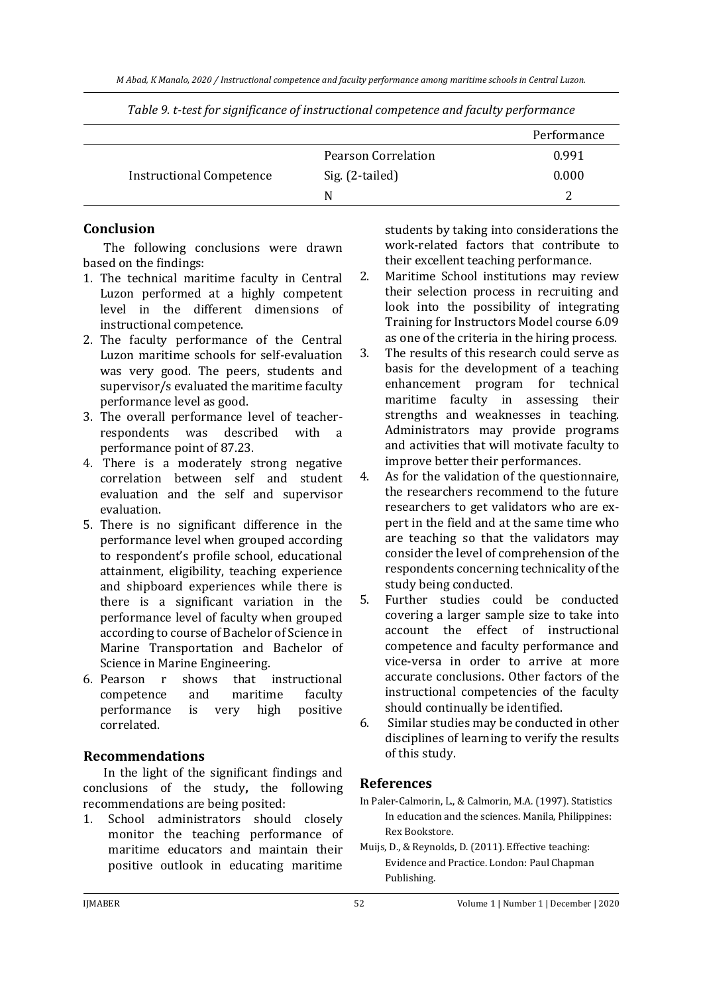|                                 |                     | Performance |
|---------------------------------|---------------------|-------------|
|                                 | Pearson Correlation | 0.991       |
| <b>Instructional Competence</b> | Sig. (2-tailed)     | 0.000       |
|                                 | N                   |             |

*Table 9. t-test for significance of instructional competence and faculty performance*

# **Conclusion**

The following conclusions were drawn based on the findings:

- 1. The technical maritime faculty in Central Luzon performed at a highly competent level in the different dimensions of instructional competence.
- 2. The faculty performance of the Central Luzon maritime schools for self-evaluation was very good. The peers, students and supervisor/s evaluated the maritime faculty performance level as good.
- 3. The overall performance level of teacherrespondents was described with a performance point of 87.23.
- 4. There is a moderately strong negative correlation between self and student evaluation and the self and supervisor evaluation.
- 5. There is no significant difference in the performance level when grouped according to respondent's profile school, educational attainment, eligibility, teaching experience and shipboard experiences while there is there is a significant variation in the performance level of faculty when grouped according to course of Bachelor of Science in Marine Transportation and Bachelor of Science in Marine Engineering.
- 6. Pearson r shows that instructional competence and maritime faculty performance is very high positive correlated.

# **Recommendations**

In the light of the significant findings and conclusions of the study**,** the following recommendations are being posited:

1. School administrators should closely monitor the teaching performance of maritime educators and maintain their positive outlook in educating maritime

students by taking into considerations the work-related factors that contribute to their excellent teaching performance.

- 2. Maritime School institutions may review their selection process in recruiting and look into the possibility of integrating Training for Instructors Model course 6.09 as one of the criteria in the hiring process.
- 3. The results of this research could serve as basis for the development of a teaching enhancement program for technical maritime faculty in assessing their strengths and weaknesses in teaching. Administrators may provide programs and activities that will motivate faculty to improve better their performances.
- 4. As for the validation of the questionnaire, the researchers recommend to the future researchers to get validators who are expert in the field and at the same time who are teaching so that the validators may consider the level of comprehension of the respondents concerning technicality of the study being conducted.
- 5. Further studies could be conducted covering a larger sample size to take into account the effect of instructional competence and faculty performance and vice-versa in order to arrive at more accurate conclusions. Other factors of the instructional competencies of the faculty should continually be identified.
- 6. Similar studies may be conducted in other disciplines of learning to verify the results of this study.

# **References**

- In Paler-Calmorin, L., & Calmorin, M.A. (1997). Statistics In education and the sciences. Manila, Philippines: Rex Bookstore.
- Muijs, D., & Reynolds, D. (2011). Effective teaching: Evidence and Practice. London: Paul Chapman Publishing.